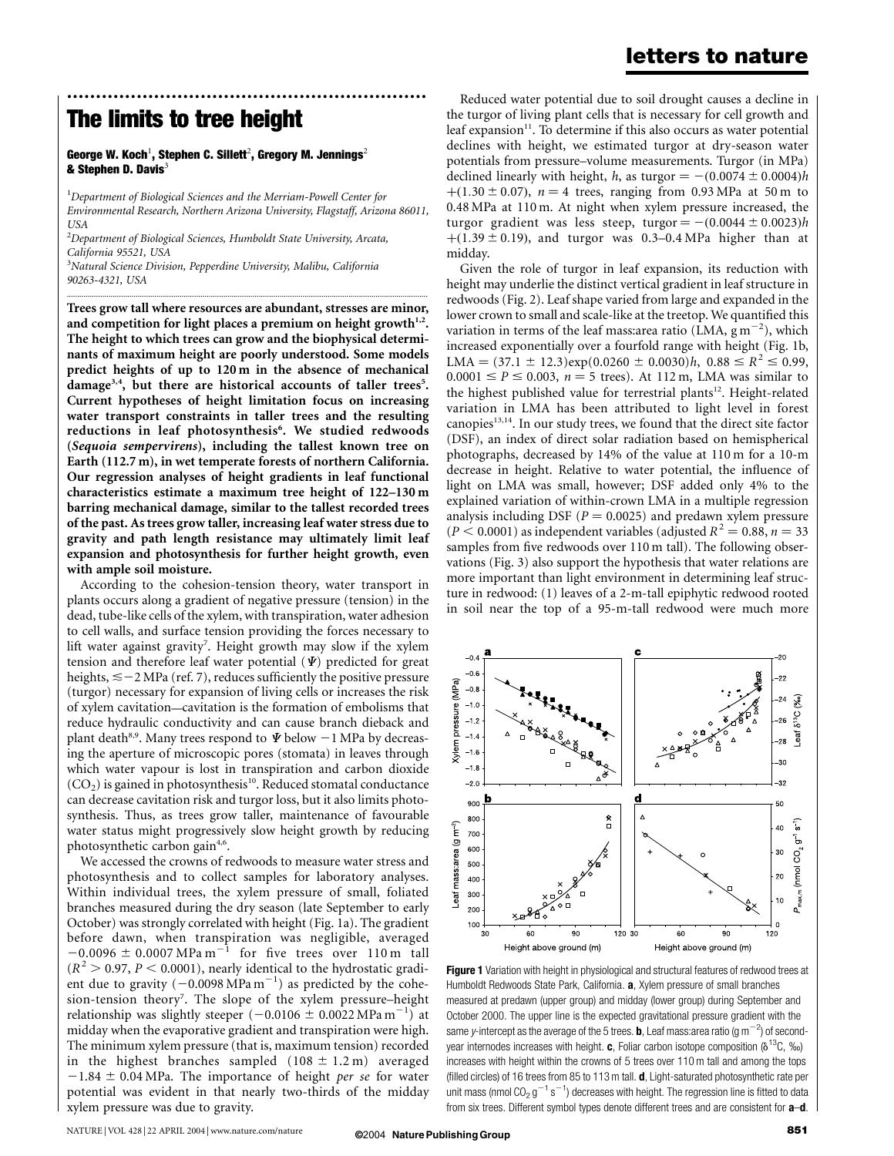## letters to nature

## The limits to tree height

George W. Koch $^1$ , Stephen C. Sillett $^2$ , Gregory M. Jennings $^2$ & Stephen D. Davis $3$ 

 $^{\rm 1}$ Department of Biological Sciences and the Merriam-Powell Center for Environmental Research, Northern Arizona University, Flagstaff, Arizona 86011, **USA** 

.............................................................................................................................................................................

..............................................................

 $^{2}$ Department of Biological Sciences, Humboldt State University, Arcata, California 95521, USA

<sup>3</sup>Natural Science Division, Pepperdine University, Malibu, California 90263-4321, USA

Trees grow tall where resources are abundant, stresses are minor, and competition for light places a premium on height growth $1.2$ . The height to which trees can grow and the biophysical determinants of maximum height are poorly understood. Some models predict heights of up to 120 m in the absence of mechanical damage<sup>3,4</sup>, but there are historical accounts of taller trees<sup>5</sup>. Current hypotheses of height limitation focus on increasing water transport constraints in taller trees and the resulting reductions in leaf photosynthesis<sup>6</sup>. We studied redwoods (Sequoia sempervirens), including the tallest known tree on Earth (112.7 m), in wet temperate forests of northern California. Our regression analyses of height gradients in leaf functional characteristics estimate a maximum tree height of 122–130 m barring mechanical damage, similar to the tallest recorded trees of the past. As trees grow taller, increasing leaf water stress due to gravity and path length resistance may ultimately limit leaf expansion and photosynthesis for further height growth, even with ample soil moisture.

According to the cohesion-tension theory, water transport in plants occurs along a gradient of negative pressure (tension) in the dead, tube-like cells of the xylem, with transpiration, water adhesion to cell walls, and surface tension providing the forces necessary to lift water against gravity<sup>7</sup>. Height growth may slow if the xylem tension and therefore leaf water potential  $(\Psi)$  predicted for great heights,  $\leq$  -2 MPa (ref. 7), reduces sufficiently the positive pressure (turgor) necessary for expansion of living cells or increases the risk of xylem cavitation—cavitation is the formation of embolisms that reduce hydraulic conductivity and can cause branch dieback and plant death<sup>8,9</sup>. Many trees respond to  $\Psi$  below  $-1$  MPa by decreasing the aperture of microscopic pores (stomata) in leaves through which water vapour is lost in transpiration and carbon dioxide  $(CO<sub>2</sub>)$  is gained in photosynthesis<sup>10</sup>. Reduced stomatal conductance can decrease cavitation risk and turgor loss, but it also limits photosynthesis. Thus, as trees grow taller, maintenance of favourable water status might progressively slow height growth by reducing photosynthetic carbon gain<sup>4,6</sup>.

We accessed the crowns of redwoods to measure water stress and photosynthesis and to collect samples for laboratory analyses. Within individual trees, the xylem pressure of small, foliated branches measured during the dry season (late September to early October) was strongly correlated with height (Fig. 1a). The gradient before dawn, when transpiration was negligible, averaged  $-0.0096 \pm 0.0007 \text{ MPa m}^{-1}$  for five trees over 110 m tall  $(R^2 > 0.97, P < 0.0001)$ , nearly identical to the hydrostatic gradient due to gravity  $(-0.0098 \text{ MPa m}^{-1})$  as predicted by the cohesion-tension theory<sup>7</sup>. The slope of the xylem pressure-height relationship was slightly steeper  $(-0.0106 \pm 0.0022 \text{ MPa m}^{-1})$  at midday when the evaporative gradient and transpiration were high. The minimum xylem pressure (that is, maximum tension) recorded in the highest branches sampled  $(108 \pm 1.2 \text{ m})$  averaged  $-1.84 \pm 0.04$  MPa. The importance of height per se for water potential was evident in that nearly two-thirds of the midday xylem pressure was due to gravity.

Reduced water potential due to soil drought causes a decline in the turgor of living plant cells that is necessary for cell growth and leaf expansion $11$ . To determine if this also occurs as water potential declines with height, we estimated turgor at dry-season water potentials from pressure–volume measurements. Turgor (in MPa) declined linearly with height, h, as turgor  $= -(0.0074 \pm 0.0004)h$  $+(1.30 \pm 0.07)$ ,  $n = 4$  trees, ranging from 0.93 MPa at 50 m to 0.48 MPa at 110 m. At night when xylem pressure increased, the turgor gradient was less steep, turgor  $= -(0.0044 \pm 0.0023)h$  $+(1.39 \pm 0.19)$ , and turgor was 0.3–0.4 MPa higher than at midday.

Given the role of turgor in leaf expansion, its reduction with height may underlie the distinct vertical gradient in leaf structure in redwoods (Fig. 2). Leaf shape varied from large and expanded in the lower crown to small and scale-like at the treetop. We quantified this variation in terms of the leaf mass: area ratio (LMA,  $\text{g m}^{-2}$ ), which increased exponentially over a fourfold range with height (Fig. 1b, LMA =  $(37.1 \pm 12.3)$ exp $(0.0260 \pm 0.0030)$ h,  $0.88 \le R^2 \le 0.99$ ,  $0.0001 \le P \le 0.003$ ,  $n = 5$  trees). At 112 m, LMA was similar to the highest published value for terrestrial plants<sup>12</sup>. Height-related variation in LMA has been attributed to light level in forest canopies $13,14$ . In our study trees, we found that the direct site factor (DSF), an index of direct solar radiation based on hemispherical photographs, decreased by 14% of the value at 110 m for a 10-m decrease in height. Relative to water potential, the influence of light on LMA was small, however; DSF added only 4% to the explained variation of within-crown LMA in a multiple regression analysis including DSF ( $P = 0.0025$ ) and predawn xylem pressure  $(P < 0.0001)$  as independent variables (adjusted  $R^2 = 0.88$ ,  $n = 33$ ) samples from five redwoods over 110 m tall). The following observations (Fig. 3) also support the hypothesis that water relations are more important than light environment in determining leaf structure in redwood: (1) leaves of a 2-m-tall epiphytic redwood rooted in soil near the top of a 95-m-tall redwood were much more



Figure 1 Variation with height in physiological and structural features of redwood trees at Humboldt Redwoods State Park, California. a, Xylem pressure of small branches measured at predawn (upper group) and midday (lower group) during September and October 2000. The upper line is the expected gravitational pressure gradient with the same *y*-intercept as the average of the 5 trees. **b**, Leaf mass:area ratio (g m $^{-2}$ ) of secondyear internodes increases with height. c, Foliar carbon isotope composition ( $\delta^{13}C$ , ‰) increases with height within the crowns of 5 trees over 110 m tall and among the tops (filled circles) of 16 trees from 85 to 113 m tall. d, Light-saturated photosynthetic rate per unit mass (nmol CO<sub>2</sub> g<sup>-1</sup> s<sup>-1</sup>) decreases with height. The regression line is fitted to data from six trees. Different symbol types denote different trees and are consistent for **a-d**.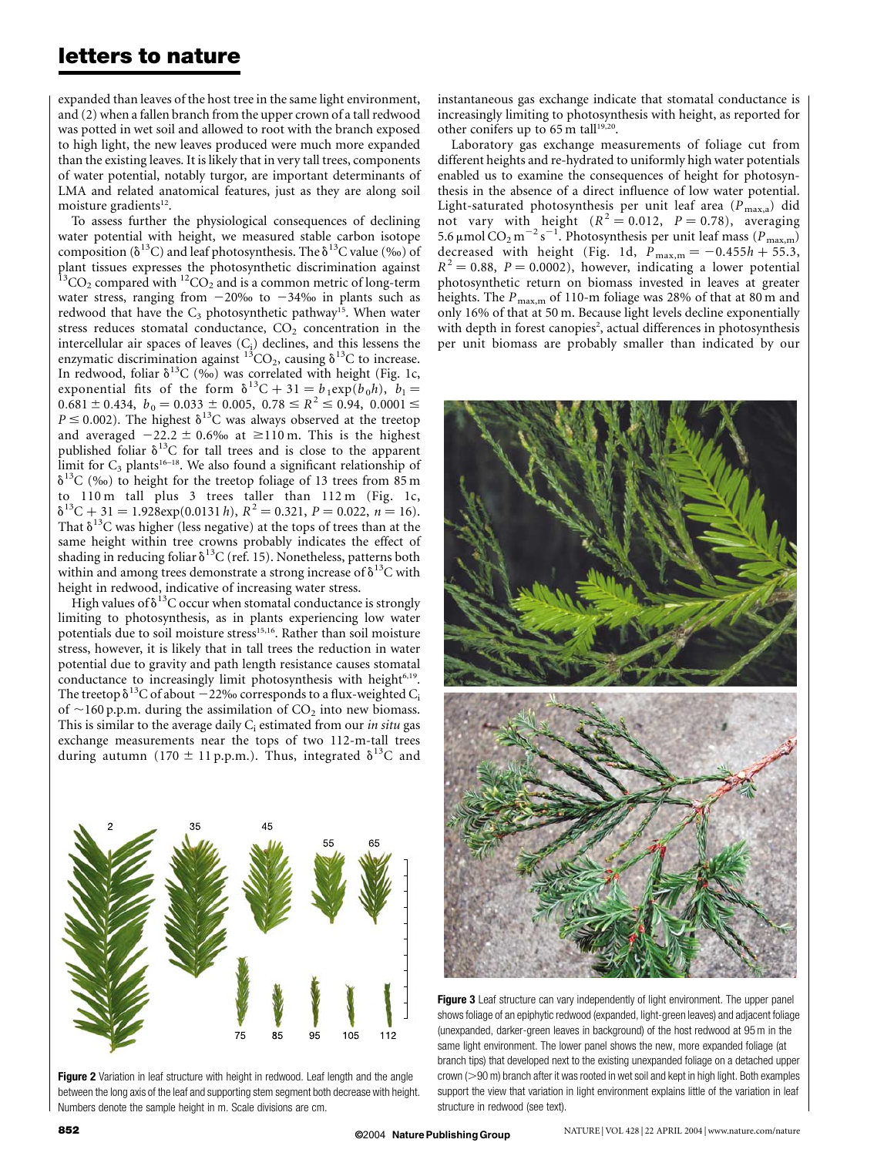## letters to nature

expanded than leaves of the host tree in the same light environment, and (2) when a fallen branch from the upper crown of a tall redwood was potted in wet soil and allowed to root with the branch exposed to high light, the new leaves produced were much more expanded than the existing leaves. It is likely that in very tall trees, components of water potential, notably turgor, are important determinants of LMA and related anatomical features, just as they are along soil moisture gradients<sup>12</sup>.

To assess further the physiological consequences of declining water potential with height, we measured stable carbon isotope composition ( $\delta^{13}$ C) and leaf photosynthesis. The  $\delta^{13}$ C value (‰) of plant tissues expresses the photosynthetic discrimination against  $^{13}$ CO<sub>2</sub> compared with  $^{12}$ CO<sub>2</sub> and is a common metric of long-term water stress, ranging from  $-20\%$  to  $-34\%$  in plants such as redwood that have the  $C_3$  photosynthetic pathway<sup>15</sup>. When water stress reduces stomatal conductance,  $CO<sub>2</sub>$  concentration in the intercellular air spaces of leaves  $(C_i)$  declines, and this lessens the enzymatic discrimination against  $\frac{13}{13}CO_2$ , causing  $\delta^{13}C$  to increase. In redwood, foliar  $\delta^{13}C$  (‰) was correlated with height (Fig. 1c, exponential fits of the form  $\delta^{13}C + 31 = b_1 \exp(b_0 h)$ ,  $b_1 =$  $0.681 \pm 0.434, b_0 = 0.033 \pm 0.005, 0.78 \leq R^2 \leq 0.94, 0.0001 \leq$  $P \le 0.002$ ). The highest  $\delta^{13}$ C was always observed at the treetop and averaged  $-22.2 \pm 0.6\%$  at  $\geq 110$  m. This is the highest published foliar  $\delta^{13}C$  for tall trees and is close to the apparent limit for  $C_3$  plants<sup>16–18</sup>. We also found a significant relationship of  $\delta^{13}$ C (‰) to height for the treetop foliage of 13 trees from 85 m to 110 m tall plus 3 trees taller than 112 m (Fig. 1c,  $\delta^{13}C + 31 = 1.928 \exp(0.0131 h), R^2 = 0.321, P = 0.022, n = 16).$ That  $\delta^{13}$ C was higher (less negative) at the tops of trees than at the same height within tree crowns probably indicates the effect of shading in reducing foliar  $\delta^{13}$ C (ref. 15). Nonetheless, patterns both within and among trees demonstrate a strong increase of  $\delta^{13}C$  with height in redwood, indicative of increasing water stress.

High values of  $\delta^{13}C$  occur when stomatal conductance is strongly limiting to photosynthesis, as in plants experiencing low water potentials due to soil moisture stress<sup>15,16</sup>. Rather than soil moisture stress, however, it is likely that in tall trees the reduction in water potential due to gravity and path length resistance causes stomatal conductance to increasingly limit photosynthesis with height6,19. The treetop  $\delta^{13}$ C of about  $-22\%$  corresponds to a flux-weighted C<sub>i</sub> of  $\sim$ 160 p.p.m. during the assimilation of CO<sub>2</sub> into new biomass. This is similar to the average daily  $C_i$  estimated from our *in situ* gas exchange measurements near the tops of two 112-m-tall trees during autumn (170  $\pm$  11 p.p.m.). Thus, integrated  $\delta^{13}C$  and



Figure 2 Variation in leaf structure with height in redwood. Leaf length and the angle between the long axis of the leaf and supporting stem segment both decrease with height. Numbers denote the sample height in m. Scale divisions are cm.

instantaneous gas exchange indicate that stomatal conductance is increasingly limiting to photosynthesis with height, as reported for other conifers up to 65 m tall<sup>19,20</sup>.

Laboratory gas exchange measurements of foliage cut from different heights and re-hydrated to uniformly high water potentials enabled us to examine the consequences of height for photosynthesis in the absence of a direct influence of low water potential. Light-saturated photosynthesis per unit leaf area  $(P_{\text{max},a})$  did not vary with height  $(R^2 = 0.012, P = 0.78)$ , averaging 5.6 μmol  $CO_2$  m<sup>-2</sup> s<sup>-1</sup>. Photosynthesis per unit leaf mass ( $P_{\text{max,m}}$ ) decreased with height (Fig. 1d,  $\bar{P}_{\text{max,m}} = -0.455h + 55.3$ ,  $R^2 = 0.88$ ,  $P = 0.0002$ ), however, indicating a lower potential photosynthetic return on biomass invested in leaves at greater heights. The  $P_{\text{max,m}}$  of 110-m foliage was 28% of that at 80 m and only 16% of that at 50 m. Because light levels decline exponentially with depth in forest canopies<sup>2</sup>, actual differences in photosynthesis per unit biomass are probably smaller than indicated by our



Figure 3 Leaf structure can vary independently of light environment. The upper panel shows foliage of an epiphytic redwood (expanded, light-green leaves) and adjacent foliage (unexpanded, darker-green leaves in background) of the host redwood at 95 m in the same light environment. The lower panel shows the new, more expanded foliage (at branch tips) that developed next to the existing unexpanded foliage on a detached upper crown (>90 m) branch after it was rooted in wet soil and kept in high light. Both examples support the view that variation in light environment explains little of the variation in leaf structure in redwood (see text).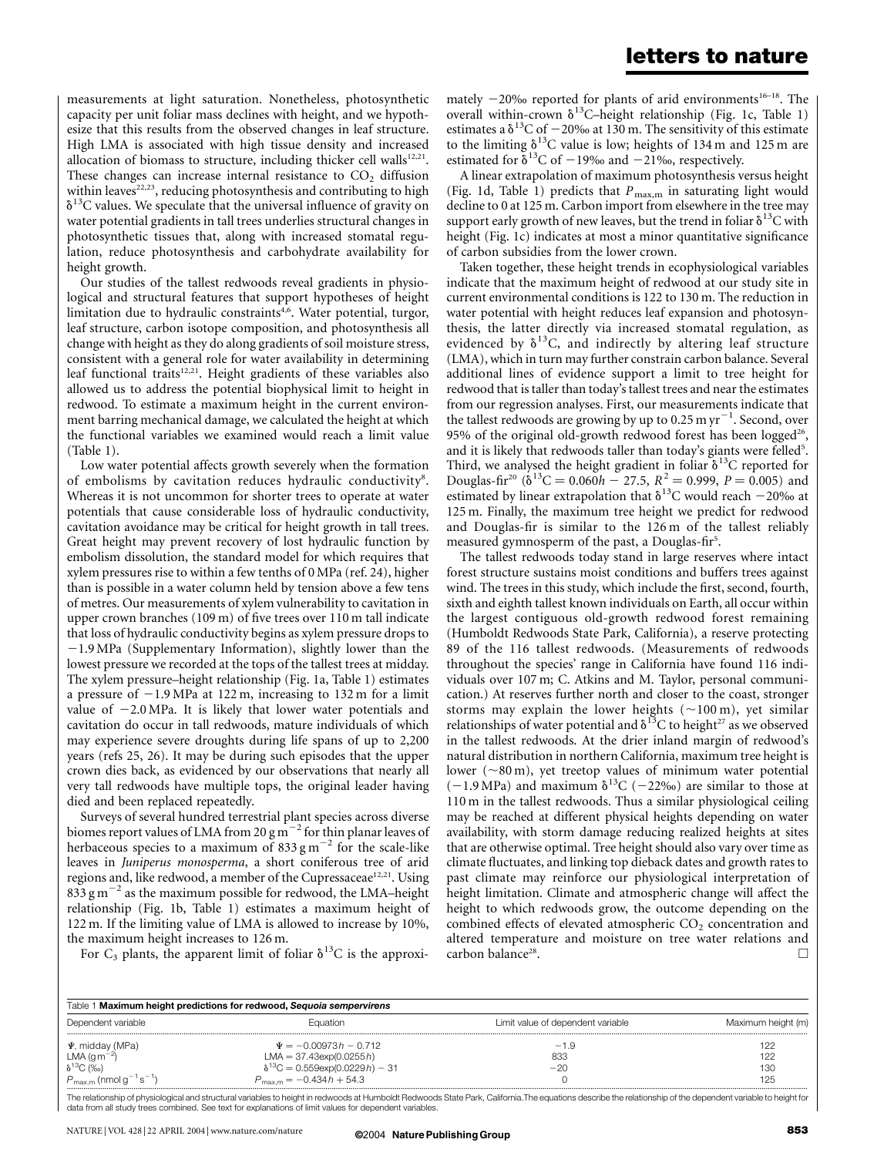measurements at light saturation. Nonetheless, photosynthetic capacity per unit foliar mass declines with height, and we hypothesize that this results from the observed changes in leaf structure. High LMA is associated with high tissue density and increased allocation of biomass to structure, including thicker cell walls $12,21$ . These changes can increase internal resistance to  $CO<sub>2</sub>$  diffusion within leaves<sup>22,23</sup>, reducing photosynthesis and contributing to high  $\delta^{13}$ C values. We speculate that the universal influence of gravity on water potential gradients in tall trees underlies structural changes in photosynthetic tissues that, along with increased stomatal regulation, reduce photosynthesis and carbohydrate availability for height growth.

Our studies of the tallest redwoods reveal gradients in physiological and structural features that support hypotheses of height limitation due to hydraulic constraints<sup>4,6</sup>. Water potential, turgor, leaf structure, carbon isotope composition, and photosynthesis all change with height as they do along gradients of soil moisture stress, consistent with a general role for water availability in determining leaf functional traits<sup>12,21</sup>. Height gradients of these variables also allowed us to address the potential biophysical limit to height in redwood. To estimate a maximum height in the current environment barring mechanical damage, we calculated the height at which the functional variables we examined would reach a limit value (Table 1).

Low water potential affects growth severely when the formation of embolisms by cavitation reduces hydraulic conductivity8. Whereas it is not uncommon for shorter trees to operate at water potentials that cause considerable loss of hydraulic conductivity, cavitation avoidance may be critical for height growth in tall trees. Great height may prevent recovery of lost hydraulic function by embolism dissolution, the standard model for which requires that xylem pressures rise to within a few tenths of 0 MPa (ref. 24), higher than is possible in a water column held by tension above a few tens of metres. Our measurements of xylem vulnerability to cavitation in upper crown branches (109 m) of five trees over 110 m tall indicate that loss of hydraulic conductivity begins as xylem pressure drops to  $-1.9$  MPa (Supplementary Information), slightly lower than the lowest pressure we recorded at the tops of the tallest trees at midday. The xylem pressure–height relationship (Fig. 1a, Table 1) estimates a pressure of  $-1.9$  MPa at 122 m, increasing to 132 m for a limit value of  $-2.0$  MPa. It is likely that lower water potentials and cavitation do occur in tall redwoods, mature individuals of which may experience severe droughts during life spans of up to 2,200 years (refs 25, 26). It may be during such episodes that the upper crown dies back, as evidenced by our observations that nearly all very tall redwoods have multiple tops, the original leader having died and been replaced repeatedly.

Surveys of several hundred terrestrial plant species across diverse biomes report values of LMA from 20  $\text{g m}^{-2}$  for thin planar leaves of herbaceous species to a maximum of  $833 \text{ g m}^{-2}$  for the scale-like leaves in Juniperus monosperma, a short coniferous tree of arid regions and, like redwood, a member of the Cupressaceae<sup>12,21</sup>. Using  $833$  g m<sup>-2</sup> as the maximum possible for redwood, the LMA–height relationship (Fig. 1b, Table 1) estimates a maximum height of 122 m. If the limiting value of LMA is allowed to increase by 10%, the maximum height increases to 126 m.

For  $C_3$  plants, the apparent limit of foliar  $\delta^{13}C$  is the approxi-

mately  $-20\%$  reported for plants of arid environments<sup>16–18</sup>. The overall within-crown  $\delta^{13}$ C–height relationship (Fig. 1c, Table 1) estimates a  $\delta^{13}$ C of  $-20\%$  at 130 m. The sensitivity of this estimate to the limiting  $\delta^{13}$ C value is low; heights of 134 m and 125 m are estimated for  $\delta^{13}$ C of -19‰ and -21‰, respectively.

A linear extrapolation of maximum photosynthesis versus height (Fig. 1d, Table 1) predicts that  $P_{\text{max,m}}$  in saturating light would decline to 0 at 125 m. Carbon import from elsewhere in the tree may support early growth of new leaves, but the trend in foliar  $\delta^{13}C$  with height (Fig. 1c) indicates at most a minor quantitative significance of carbon subsidies from the lower crown.

Taken together, these height trends in ecophysiological variables indicate that the maximum height of redwood at our study site in current environmental conditions is 122 to 130 m. The reduction in water potential with height reduces leaf expansion and photosynthesis, the latter directly via increased stomatal regulation, as evidenced by  $\delta^{13}C$ , and indirectly by altering leaf structure (LMA), which in turn may further constrain carbon balance. Several additional lines of evidence support a limit to tree height for redwood that is taller than today's tallest trees and near the estimates from our regression analyses. First, our measurements indicate that the tallest redwoods are growing by up to 0.25 m  $yr^{-1}$ . Second, over 95% of the original old-growth redwood forest has been logged<sup>26</sup>, and it is likely that redwoods taller than today's giants were felled<sup>5</sup>. Third, we analysed the height gradient in foliar  $\delta^{13}$ C reported for Douglas-fir<sup>20</sup> ( $\delta^{13}C = 0.060h - 27.5$ ,  $R^2 = 0.999$ ,  $P = 0.005$ ) and estimated by linear extrapolation that  $\delta^{13}$ C would reach -20‰ at 125 m. Finally, the maximum tree height we predict for redwood and Douglas-fir is similar to the 126 m of the tallest reliably measured gymnosperm of the past, a Douglas-fir<sup>5</sup>.

The tallest redwoods today stand in large reserves where intact forest structure sustains moist conditions and buffers trees against wind. The trees in this study, which include the first, second, fourth, sixth and eighth tallest known individuals on Earth, all occur within the largest contiguous old-growth redwood forest remaining (Humboldt Redwoods State Park, California), a reserve protecting 89 of the 116 tallest redwoods. (Measurements of redwoods throughout the species' range in California have found 116 individuals over 107 m; C. Atkins and M. Taylor, personal communication.) At reserves further north and closer to the coast, stronger storms may explain the lower heights  $(\sim100 \text{ m})$ , yet similar relationships of water potential and  $\delta^{13}$ C to height<sup>27</sup> as we observed in the tallest redwoods. At the drier inland margin of redwood's natural distribution in northern California, maximum tree height is lower  $({\sim}80 \text{ m})$ , yet treetop values of minimum water potential  $(-1.9 \text{ MPa})$  and maximum  $\delta^{13}C$  (-22‰) are similar to those at 110 m in the tallest redwoods. Thus a similar physiological ceiling may be reached at different physical heights depending on water availability, with storm damage reducing realized heights at sites that are otherwise optimal. Tree height should also vary over time as climate fluctuates, and linking top dieback dates and growth rates to past climate may reinforce our physiological interpretation of height limitation. Climate and atmospheric change will affect the height to which redwoods grow, the outcome depending on the combined effects of elevated atmospheric  $CO<sub>2</sub>$  concentration and altered temperature and moisture on tree water relations and  $\Box$  carbon balance<sup>28</sup>.

| Table 1 Maximum height predictions for redwood, Sequoia sempervirens              |                                                                                                          |                                   |                    |
|-----------------------------------------------------------------------------------|----------------------------------------------------------------------------------------------------------|-----------------------------------|--------------------|
| Dependent variable                                                                | Equation                                                                                                 | Limit value of dependent variable | Maximum height (m) |
| $\Psi$ , midday (MPa)<br>LMA (g m <sup>-2</sup> )<br>$\delta$ <sup>13</sup> C (‰) | $\Psi = -0.00973h - 0.712$<br>$LMA = 37.43 \exp(0.0255 h)$<br>$\delta^{13}C = 0.559 \exp(0.0229 h) - 31$ | $-1.9$<br>833<br>$-20$            | 122<br>122<br>13C  |
| $P_{\text{max,m}}$ (nmol $g^{-1}$ s <sup>-1</sup> )                               | $P_{\text{max.m}} = -0.434h + 54.3$                                                                      |                                   | 125                |

The relationship of physiological and structural variables to height in redwoods at Humboldt Redwoods State Park, California.The equations describe the relationship of the dependent variable to height for data from all study trees combined. See text for explanations of limit values for dependent variables.